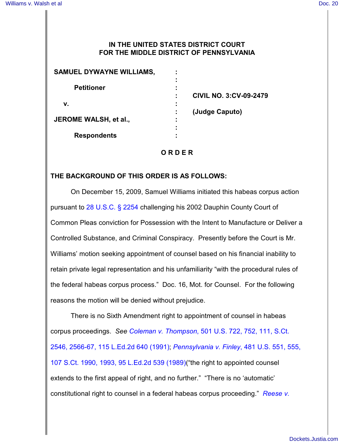## **IN THE UNITED STATES DISTRICT COURT FOR THE MIDDLE DISTRICT OF PENNSYLVANIA**

| <b>SAMUEL DYWAYNE WILLIAMS,</b> |                               |
|---------------------------------|-------------------------------|
| <b>Petitioner</b>               |                               |
|                                 |                               |
|                                 | <b>CIVIL NO. 3:CV-09-2479</b> |
| v.                              |                               |
| JEROME WALSH, et al.,           | (Judge Caputo)                |
|                                 |                               |
|                                 |                               |
| <b>Respondents</b>              |                               |
|                                 |                               |

## **O R D E R**

## **THE BACKGROUND OF THIS ORDER IS AS FOLLOWS:**

On December 15, 2009, Samuel Williams initiated this habeas corpus action pursuant to [28 U.S.C. § 2254](http://www.westlaw.com/find/default.wl?rs=CLWP3.0&vr=2.0&cite=28+USCA+s+2254) challenging his 2002 Dauphin County Court of Common Pleas conviction for Possession with the Intent to Manufacture or Deliver a Controlled Substance, and Criminal Conspiracy. Presently before the Court is Mr. Williams' motion seeking appointment of counsel based on his financial inability to retain private legal representation and his unfamiliarity "with the procedural rules of the federal habeas corpus process." Doc. 16, Mot. for Counsel. For the following reasons the motion will be denied without prejudice.

There is no Sixth Amendment right to appointment of counsel in habeas corpus proceedings. *See Coleman v. Thompson*[, 501 U.S. 722, 752, 111, S.Ct.](http://www.westlaw.com/find/default.wl?rs=CLWP3.0&vr=2.0&cite=501+U.S.+722) [2546, 2566-67, 115 L.Ed.2d 640 \(1991\)](http://www.westlaw.com/find/default.wl?rs=CLWP3.0&vr=2.0&cite=501+U.S.+722); *[Pennsylvania v. Finley](http://www.westlaw.com/find/default.wl?rs=CLWP3.0&vr=2.0&cite=481+U.S.+551)*, 481 U.S. 551, 555, [107 S.Ct. 1990, 1993, 95 L.Ed.2d 539 \(1989\)](http://www.westlaw.com/find/default.wl?rs=CLWP3.0&vr=2.0&cite=481+U.S.+551)("the right to appointed counsel extends to the first appeal of right, and no further." "There is no 'automatic' constitutional right to counsel in a federal habeas corpus proceeding." *[Reese v.](http://www.westlaw.com/find/default.wl?rs=CLWP3.0&vr=2.0&cite=946+F.2d+247)*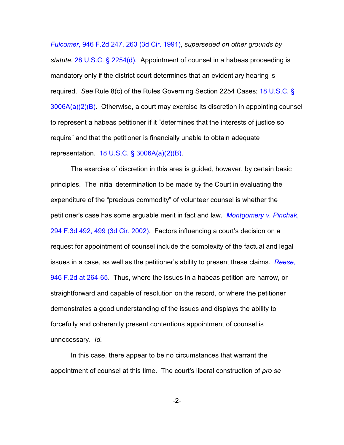*Fulcomer*, 946 F.2d 247, 263 (3d Cir. 1991), *superseded on other grounds by statute*, [28 U.S.C. § 2254\(d\)](http://www.westlaw.com/find/default.wl?rs=CLWP3.0&vr=2.0&cite=28+USCA+s+2254%28d%29). Appointment of counsel in a habeas proceeding is mandatory only if the district court determines that an evidentiary hearing is required. *See* Rule 8(c) of the Rules Governing Section 2254 Cases; [18 U.S.C. §](http://www.westlaw.com/find/default.wl?rs=CLWP3.0&vr=2.0&cite=18+USCA+s+3006A%28a%29%282%29%28B%29) [3006A\(a\)\(2\)\(B\)](http://www.westlaw.com/find/default.wl?rs=CLWP3.0&vr=2.0&cite=18+USCA+s+3006A%28a%29%282%29%28B%29). Otherwise, a court may exercise its discretion in appointing counsel to represent a habeas petitioner if it "determines that the interests of justice so require" and that the petitioner is financially unable to obtain adequate representation. [18 U.S.C. § 3006A\(a\)\(2\)\(B\)](http://www.westlaw.com/find/default.wl?rs=CLWP3.0&vr=2.0&cite=18+USCA+s+3006A%28a%29%282%29%28B%29).

The exercise of discretion in this area is guided, however, by certain basic principles. The initial determination to be made by the Court in evaluating the expenditure of the "precious commodity" of volunteer counsel is whether the petitioner's case has some arguable merit in fact and law. *[Montgomery v. Pinchak](http://www.westlaw.com/find/default.wl?rs=CLWP3.0&vr=2.0&cite=294+F.3d+492)*, [294 F.3d 492, 499 \(3d Cir. 2002\)](http://www.westlaw.com/find/default.wl?rs=CLWP3.0&vr=2.0&cite=294+F.3d+492). Factors influencing a court's decision on a request for appointment of counsel include the complexity of the factual and legal issues in a case, as well as the petitioner's ability to present these claims. *[Reese](http://www.westlaw.com/find/default.wl?rs=CLWP3.0&vr=2.0&cite=946+F.2d+264)*, [946 F.2d at 264-65](http://www.westlaw.com/find/default.wl?rs=CLWP3.0&vr=2.0&cite=946+F.2d+264). Thus, where the issues in a habeas petition are narrow, or straightforward and capable of resolution on the record, or where the petitioner demonstrates a good understanding of the issues and displays the ability to forcefully and coherently present contentions appointment of counsel is unnecessary. *Id.*

In this case, there appear to be no circumstances that warrant the appointment of counsel at this time. The court's liberal construction of *pro se*